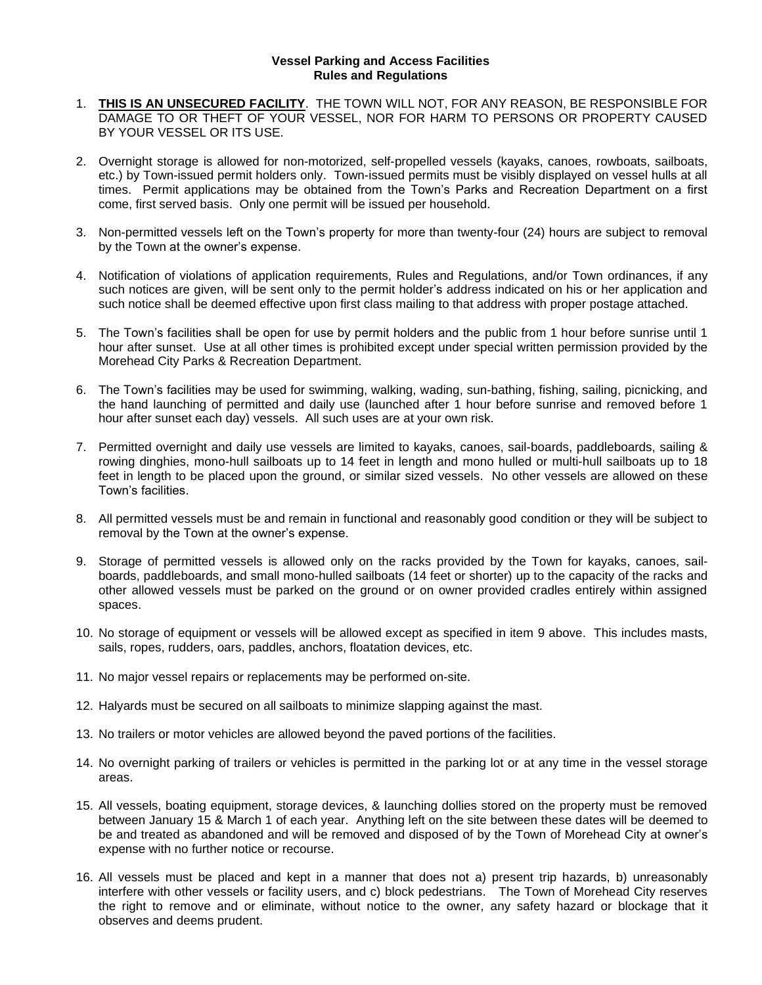## **Vessel Parking and Access Facilities Rules and Regulations**

- 1. **THIS IS AN UNSECURED FACILITY**. THE TOWN WILL NOT, FOR ANY REASON, BE RESPONSIBLE FOR DAMAGE TO OR THEFT OF YOUR VESSEL, NOR FOR HARM TO PERSONS OR PROPERTY CAUSED BY YOUR VESSEL OR ITS USE.
- 2. Overnight storage is allowed for non-motorized, self-propelled vessels (kayaks, canoes, rowboats, sailboats, etc.) by Town-issued permit holders only. Town-issued permits must be visibly displayed on vessel hulls at all times. Permit applications may be obtained from the Town's Parks and Recreation Department on a first come, first served basis. Only one permit will be issued per household.
- 3. Non-permitted vessels left on the Town's property for more than twenty-four (24) hours are subject to removal by the Town at the owner's expense.
- 4. Notification of violations of application requirements, Rules and Regulations, and/or Town ordinances, if any such notices are given, will be sent only to the permit holder's address indicated on his or her application and such notice shall be deemed effective upon first class mailing to that address with proper postage attached.
- 5. The Town's facilities shall be open for use by permit holders and the public from 1 hour before sunrise until 1 hour after sunset. Use at all other times is prohibited except under special written permission provided by the Morehead City Parks & Recreation Department.
- 6. The Town's facilities may be used for swimming, walking, wading, sun-bathing, fishing, sailing, picnicking, and the hand launching of permitted and daily use (launched after 1 hour before sunrise and removed before 1 hour after sunset each day) vessels. All such uses are at your own risk.
- 7. Permitted overnight and daily use vessels are limited to kayaks, canoes, sail-boards, paddleboards, sailing & rowing dinghies, mono-hull sailboats up to 14 feet in length and mono hulled or multi-hull sailboats up to 18 feet in length to be placed upon the ground, or similar sized vessels. No other vessels are allowed on these Town's facilities.
- 8. All permitted vessels must be and remain in functional and reasonably good condition or they will be subject to removal by the Town at the owner's expense.
- 9. Storage of permitted vessels is allowed only on the racks provided by the Town for kayaks, canoes, sailboards, paddleboards, and small mono-hulled sailboats (14 feet or shorter) up to the capacity of the racks and other allowed vessels must be parked on the ground or on owner provided cradles entirely within assigned spaces.
- 10. No storage of equipment or vessels will be allowed except as specified in item 9 above. This includes masts, sails, ropes, rudders, oars, paddles, anchors, floatation devices, etc.
- 11. No major vessel repairs or replacements may be performed on-site.
- 12. Halyards must be secured on all sailboats to minimize slapping against the mast.
- 13. No trailers or motor vehicles are allowed beyond the paved portions of the facilities.
- 14. No overnight parking of trailers or vehicles is permitted in the parking lot or at any time in the vessel storage areas.
- 15. All vessels, boating equipment, storage devices, & launching dollies stored on the property must be removed between January 15 & March 1 of each year. Anything left on the site between these dates will be deemed to be and treated as abandoned and will be removed and disposed of by the Town of Morehead City at owner's expense with no further notice or recourse.
- 16. All vessels must be placed and kept in a manner that does not a) present trip hazards, b) unreasonably interfere with other vessels or facility users, and c) block pedestrians. The Town of Morehead City reserves the right to remove and or eliminate, without notice to the owner, any safety hazard or blockage that it observes and deems prudent.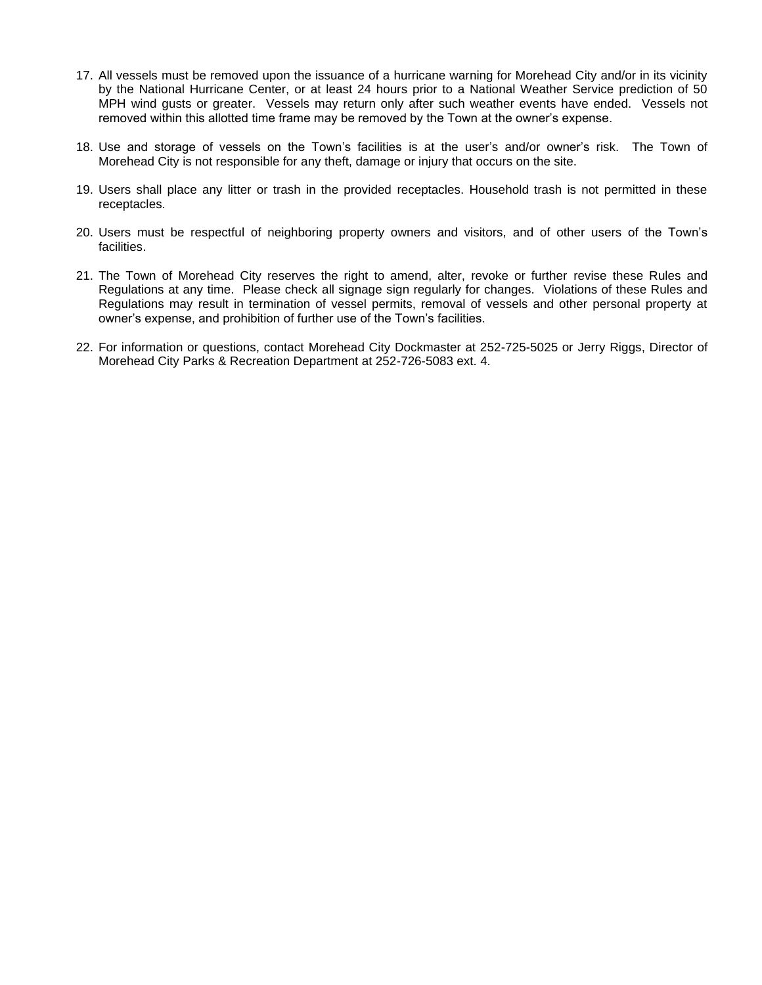- 17. All vessels must be removed upon the issuance of a hurricane warning for Morehead City and/or in its vicinity by the National Hurricane Center, or at least 24 hours prior to a National Weather Service prediction of 50 MPH wind gusts or greater. Vessels may return only after such weather events have ended. Vessels not removed within this allotted time frame may be removed by the Town at the owner's expense.
- 18. Use and storage of vessels on the Town's facilities is at the user's and/or owner's risk. The Town of Morehead City is not responsible for any theft, damage or injury that occurs on the site.
- 19. Users shall place any litter or trash in the provided receptacles. Household trash is not permitted in these receptacles.
- 20. Users must be respectful of neighboring property owners and visitors, and of other users of the Town's facilities.
- 21. The Town of Morehead City reserves the right to amend, alter, revoke or further revise these Rules and Regulations at any time. Please check all signage sign regularly for changes. Violations of these Rules and Regulations may result in termination of vessel permits, removal of vessels and other personal property at owner's expense, and prohibition of further use of the Town's facilities.
- 22. For information or questions, contact Morehead City Dockmaster at 252-725-5025 or Jerry Riggs, Director of Morehead City Parks & Recreation Department at 252-726-5083 ext. 4.